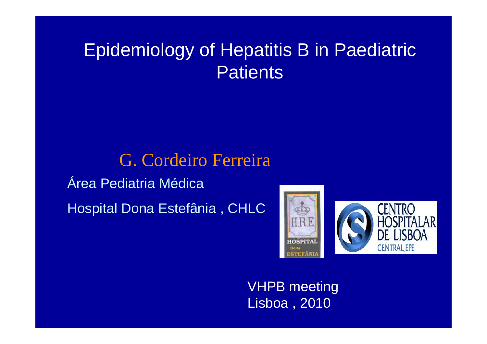# Epidemiology of Hepatitis B in Paediatric **Patients**

Área Pediatria MédicaHospital Dona Estefânia , CHLC G. Cordeiro Ferreira



VHPB meeting Lisboa , 2010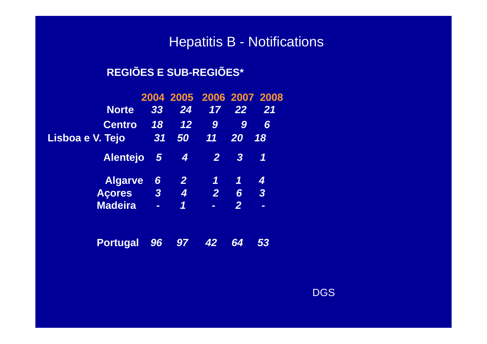#### Hepatitis B - Notifications

#### **REGIÕES E SUB-REGIÕES\***

|                  |                          |                  | 2004 2005 2006 2007 2008 |                  |                          |
|------------------|--------------------------|------------------|--------------------------|------------------|--------------------------|
| <b>Norte</b>     | 33                       | 24               | 17                       | 22               | 21                       |
| <b>Centro</b>    | 18                       | 12               | $\boldsymbol{9}$         | 9                | 6                        |
| Lisboa e V. Tejo | 31                       | 50               | $\overline{11}$          | <b>20</b>        | 18                       |
| <b>Alentejo</b>  | $\sqrt{5}$               | $\boldsymbol{4}$ | $\overline{2}$           | $\boldsymbol{3}$ | 1                        |
| <b>Algarve</b>   | 6                        | $\overline{2}$   | 1                        | 7                | 4                        |
| <b>Acores</b>    | $\overline{\mathbf{3}}$  | $\overline{4}$   | $\overline{2}$           | 6                | $\overline{3}$           |
| <b>Madeira</b>   | $\overline{\phantom{a}}$ | 1                | $\overline{\phantom{0}}$ | $\overline{2}$   | $\overline{\phantom{a}}$ |
|                  |                          |                  |                          |                  |                          |

**Portugal** *96 97 42 64 53*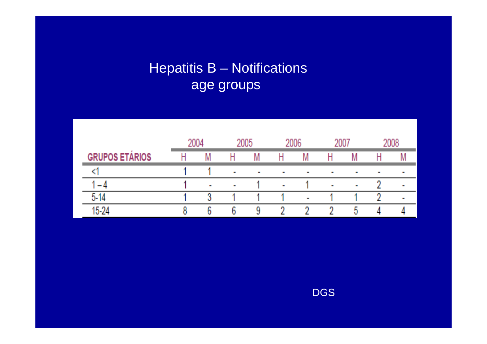## Hepatitis B – Notifications age groups

|                       | 2004 |     | 2005                |            | 2006         |            | 2007         |              | 2008       |  |
|-----------------------|------|-----|---------------------|------------|--------------|------------|--------------|--------------|------------|--|
| <b>GRUPOS ETARIOS</b> |      |     |                     |            |              | M          |              | N            |            |  |
| المتعمل               |      |     | <b>The Contract</b> | <b>COL</b> |              |            |              |              | <b>COL</b> |  |
|                       |      |     | man i               |            | <b>COLOR</b> |            | <b>COLOR</b> | <b>STATE</b> |            |  |
| 54                    |      | ŋ   |                     |            |              | <b>COL</b> |              |              |            |  |
| 15.24                 |      | . . | n.                  | q          | m            | m          |              | в.           |            |  |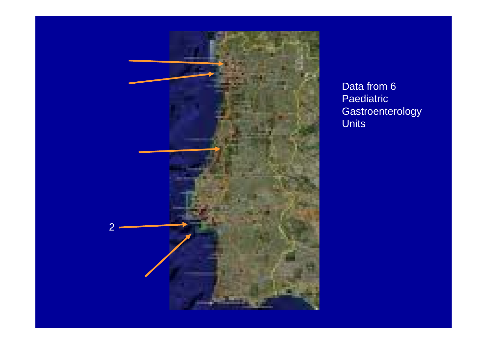

Data from 6 Paediatric Gastroenterology Units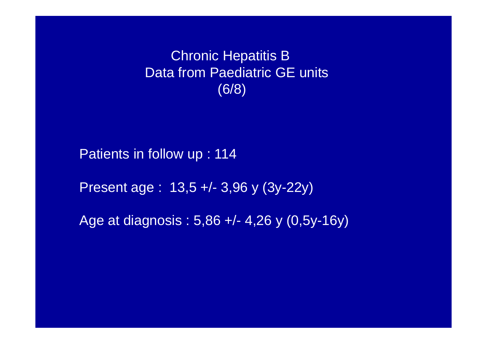Patients in follow up : 114

Present age : 13,5 +/- 3,96 y (3y-22y)

Age at diagnosis : 5,86 +/- 4,26 y (0,5y-16y)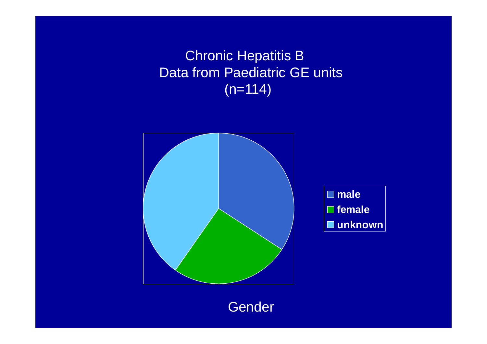

**Gender**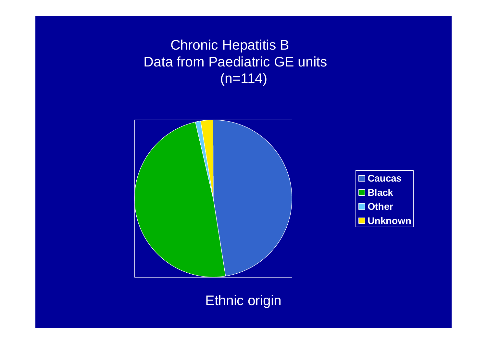



#### Ethnic origin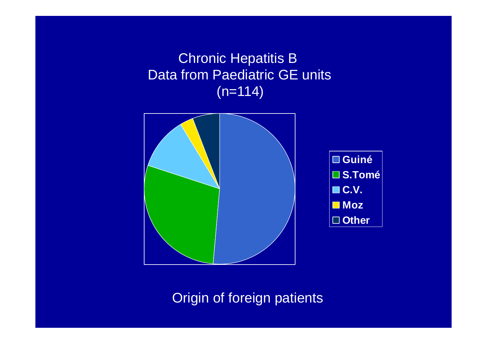

Origin of foreign patients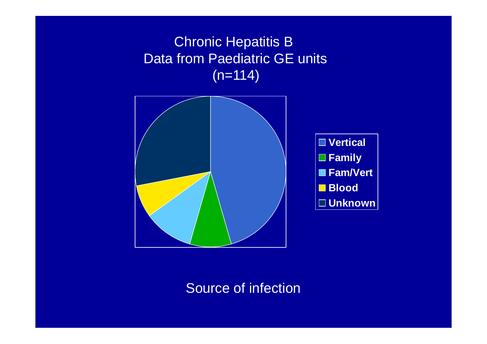

#### Source of infection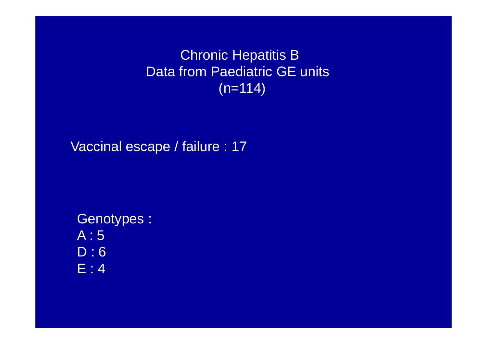Vaccinal escape / failure : 17

Genotypes : A : 5 D : 6 E : 4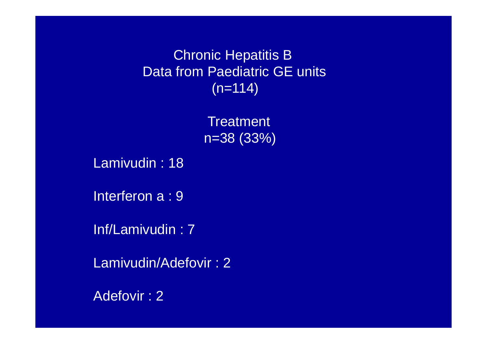> **Treatment** n=38 (33%)

Lamivudin : 18

Interferon a : 9

Inf/Lamivudin : 7

Lamivudin/Adefovir : 2

Adefovir : 2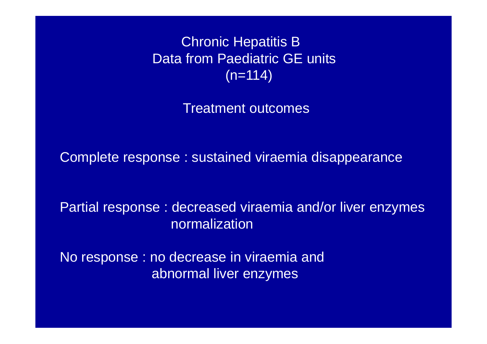Treatment outcomes

Complete response : sustained viraemia disappearance

Partial response : decreased viraemia and/or liver enzymes normalization

No response : no decrease in viraemia and abnormal liver enzymes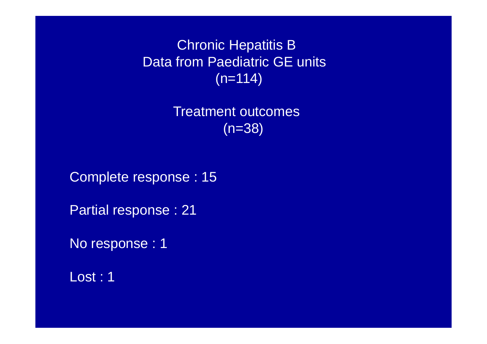> Treatment outcomes (n=38)

Complete response : 15

Partial response : 21

No response : 1

Lost : 1